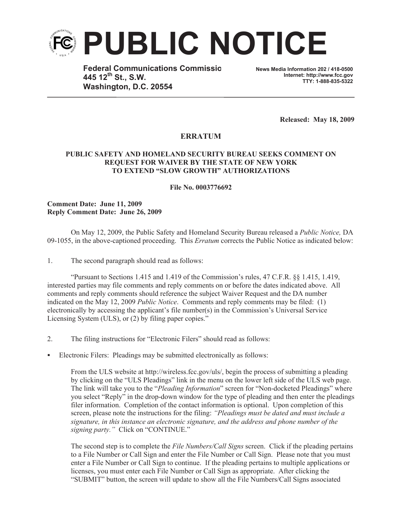

**Federal Communications Commissio 445 12th St., S.W. Washington, D.C. 20554**

**News Media Information 202 / 418-0500 Internet: http://www.fcc.gov TTY: 1-888-835-5322**

**Released: May 18, 2009**

## **ERRATUM**

## **PUBLIC SAFETY AND HOMELAND SECURITY BUREAU SEEKS COMMENT ON REQUEST FOR WAIVER BY THE STATE OF NEW YORK TO EXTEND "SLOW GROWTH" AUTHORIZATIONS**

**File No. 0003776692**

**Comment Date: June 11, 2009 Reply Comment Date: June 26, 2009**

On May 12, 2009, the Public Safety and Homeland Security Bureau released a *Public Notice,* DA 09-1055, in the above-captioned proceeding. This *Erratum* corrects the Public Notice as indicated below:

1. The second paragraph should read as follows:

"Pursuant to Sections 1.415 and 1.419 of the Commission's rules, 47 C.F.R. §§ 1.415, 1.419, interested parties may file comments and reply comments on or before the dates indicated above. All comments and reply comments should reference the subject Waiver Request and the DA number indicated on the May 12, 2009 *Public Notice*. Comments and reply comments may be filed: (1) electronically by accessing the applicant's file number(s) in the Commission's Universal Service Licensing System (ULS), or (2) by filing paper copies."

- 2. The filing instructions for "Electronic Filers" should read as follows:
- Electronic Filers: Pleadings may be submitted electronically as follows:

From the ULS website at http://wireless.fcc.gov/uls/, begin the process of submitting a pleading by clicking on the "ULS Pleadings" link in the menu on the lower left side of the ULS web page. The link will take you to the "*Pleading Information*" screen for "Non-docketed Pleadings" where you select "Reply" in the drop-down window for the type of pleading and then enter the pleadings filer information. Completion of the contact information is optional. Upon completion of this screen, please note the instructions for the filing: *"Pleadings must be dated and must include a signature, in this instance an electronic signature, and the address and phone number of the signing party."* Click on "CONTINUE."

The second step is to complete the *File Numbers/Call Signs* screen. Click if the pleading pertains to a File Number or Call Sign and enter the File Number or Call Sign. Please note that you must enter a File Number or Call Sign to continue. If the pleading pertains to multiple applications or licenses, you must enter each File Number or Call Sign as appropriate. After clicking the "SUBMIT" button, the screen will update to show all the File Numbers/Call Signs associated